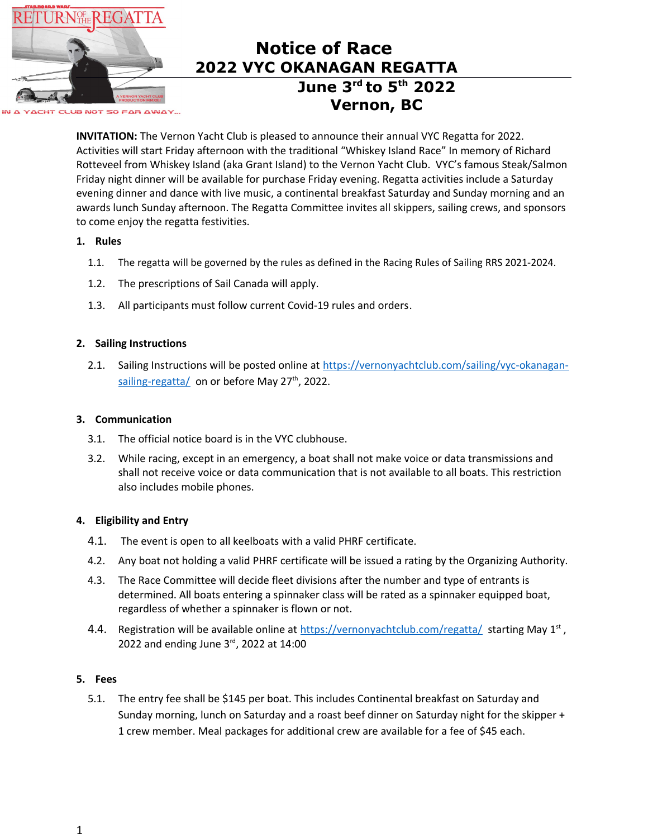

# **Notice of Race 2022 VYC OKANAGAN REGATTA June 3rd to 5th 2022 Vernon, BC**

**INVITATION:** The Vernon Yacht Club is pleased to announce their annual VYC Regatta for 2022. Activities will start Friday afternoon with the traditional "Whiskey Island Race" In memory of Richard Rotteveel from Whiskey Island (aka Grant Island) to the Vernon Yacht Club. VYC's famous Steak/Salmon Friday night dinner will be available for purchase Friday evening. Regatta activities include a Saturday evening dinner and dance with live music, a continental breakfast Saturday and Sunday morning and an awards lunch Sunday afternoon. The Regatta Committee invites all skippers, sailing crews, and sponsors to come enjoy the regatta festivities.

## **1. Rules**

- 1.1. The regatta will be governed by the rules as defined in the Racing Rules of Sailing RRS 2021-2024.
- 1.2. The prescriptions of Sail Canada will apply.
- 1.3. All participants must follow current Covid-19 rules and orders.

## **2. Sailing Instructions**

2.1. Sailing Instructions will be posted online at [https://vernonyachtclub.com/sailing/vyc-okanagan](https://vernonyachtclub.com/sailing/vyc-okanagan-sailing-regatta/)[sailing-regatta/](https://vernonyachtclub.com/sailing/vyc-okanagan-sailing-regatta/) on or before May 27<sup>th</sup>, 2022.

## **3. Communication**

- 3.1. The official notice board is in the VYC clubhouse.
- 3.2. While racing, except in an emergency, a boat shall not make voice or data transmissions and shall not receive voice or data communication that is not available to all boats. This restriction also includes mobile phones.

## **4. Eligibility and Entry**

- 4.1. The event is open to all keelboats with a valid PHRF certificate.
- 4.2. Any boat not holding a valid PHRF certificate will be issued a rating by the Organizing Authority.
- 4.3. The Race Committee will decide fleet divisions after the number and type of entrants is determined. All boats entering a spinnaker class will be rated as a spinnaker equipped boat, regardless of whether a spinnaker is flown or not.
- 4.4. Registration will be available online at<https://vernonyachtclub.com/regatta/> starting May 1<sup>st</sup>, 2022 and ending June  $3<sup>rd</sup>$ , 2022 at 14:00

## **5. Fees**

5.1. The entry fee shall be \$145 per boat. This includes Continental breakfast on Saturday and Sunday morning, lunch on Saturday and a roast beef dinner on Saturday night for the skipper + 1 crew member. Meal packages for additional crew are available for a fee of \$45 each.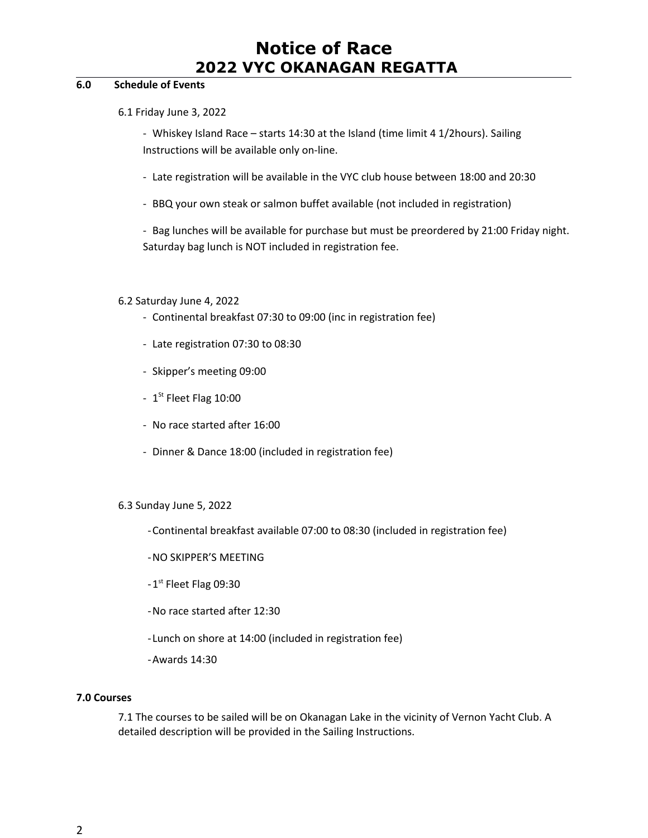# **Notice of Race 2022 VYC OKANAGAN REGATTA**

#### **6.0 Schedule of Events**

6.1 Friday June 3, 2022

- Whiskey Island Race – starts 14:30 at the Island (time limit 4 1/2hours). Sailing Instructions will be available only on-line.

- Late registration will be available in the VYC club house between 18:00 and 20:30
- BBQ your own steak or salmon buffet available (not included in registration)

- Bag lunches will be available for purchase but must be preordered by 21:00 Friday night. Saturday bag lunch is NOT included in registration fee.

#### 6.2 Saturday June 4, 2022

- Continental breakfast 07:30 to 09:00 (inc in registration fee)
- Late registration 07:30 to 08:30
- Skipper's meeting 09:00
- $-1<sup>st</sup>$  Fleet Flag 10:00
- No race started after 16:00
- Dinner & Dance 18:00 (included in registration fee)

#### 6.3 Sunday June 5, 2022

- -Continental breakfast available 07:00 to 08:30 (included in registration fee)
- -NO SKIPPER'S MEETING
- -1<sup>st</sup> Fleet Flag 09:30
- -No race started after 12:30
- -Lunch on shore at 14:00 (included in registration fee)
- -Awards 14:30

#### **7.0 Courses**

7.1 The courses to be sailed will be on Okanagan Lake in the vicinity of Vernon Yacht Club. A detailed description will be provided in the Sailing Instructions.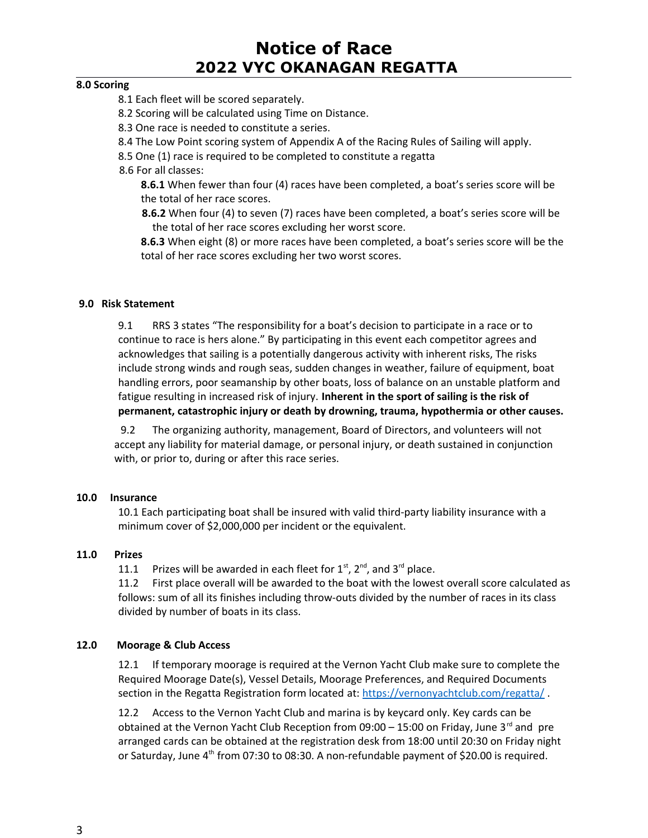## **Notice of Race 2022 VYC OKANAGAN REGATTA**

### **8.0 Scoring**

8.1 Each fleet will be scored separately.

8.2 Scoring will be calculated using Time on Distance.

8.3 One race is needed to constitute a series.

8.4 The Low Point scoring system of Appendix A of the Racing Rules of Sailing will apply.

- 8.5 One (1) race is required to be completed to constitute a regatta
- 8.6 For all classes:

**8.6.1** When fewer than four (4) races have been completed, a boat's series score will be the total of her race scores.

 **8.6.2** When four (4) to seven (7) races have been completed, a boat's series score will be the total of her race scores excluding her worst score.

**8.6.3** When eight (8) or more races have been completed, a boat's series score will be the total of her race scores excluding her two worst scores.

#### **9.0 Risk Statement**

9.1 RRS 3 states "The responsibility for a boat's decision to participate in a race or to continue to race is hers alone." By participating in this event each competitor agrees and acknowledges that sailing is a potentially dangerous activity with inherent risks, The risks include strong winds and rough seas, sudden changes in weather, failure of equipment, boat handling errors, poor seamanship by other boats, loss of balance on an unstable platform and fatigue resulting in increased risk of injury. **Inherent in the sport of sailing is the risk of permanent, catastrophic injury or death by drowning, trauma, hypothermia or other causes.**

 9.2 The organizing authority, management, Board of Directors, and volunteers will not accept any liability for material damage, or personal injury, or death sustained in conjunction with, or prior to, during or after this race series.

#### **10.0 Insurance**

10.1 Each participating boat shall be insured with valid third-party liability insurance with a minimum cover of \$2,000,000 per incident or the equivalent.

#### **11.0 Prizes**

11.1 Prizes will be awarded in each fleet for  $1^{st}$ ,  $2^{nd}$ , and  $3^{rd}$  place.

11.2 First place overall will be awarded to the boat with the lowest overall score calculated as follows: sum of all its finishes including throw-outs divided by the number of races in its class divided by number of boats in its class.

#### **12.0 Moorage & Club Access**

12.1 If temporary moorage is required at the Vernon Yacht Club make sure to complete the Required Moorage Date(s), Vessel Details, Moorage Preferences, and Required Documents section in the Regatta Registration form located at: https://vernonyachtclub.com/regatta/.

12.2 Access to the Vernon Yacht Club and marina is by keycard only. Key cards can be obtained at the Vernon Yacht Club Reception from  $09:00 - 15:00$  on Friday, June 3<sup>rd</sup> and pre arranged cards can be obtained at the registration desk from 18:00 until 20:30 on Friday night or Saturday, June  $4<sup>th</sup>$  from 07:30 to 08:30. A non-refundable payment of \$20.00 is required.